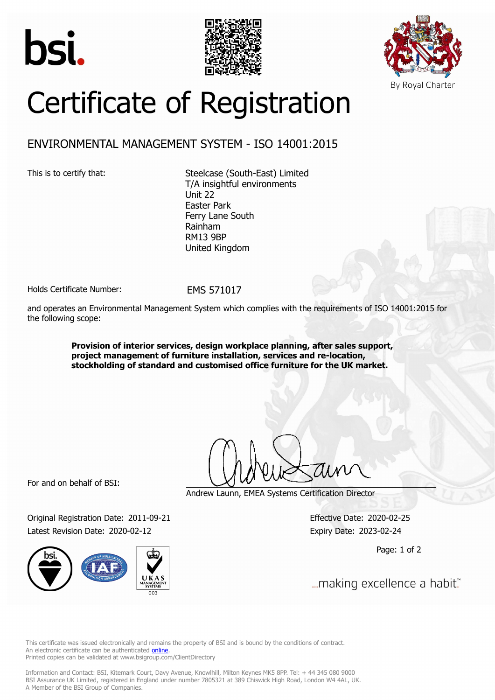





# Certificate of Registration

## ENVIRONMENTAL MANAGEMENT SYSTEM - ISO 14001:2015

This is to certify that: Steelcase (South-East) Limited T/A insightful environments Unit 22 Easter Park Ferry Lane South Rainham RM13 9BP United Kingdom

Holds Certificate Number: FMS 571017

and operates an Environmental Management System which complies with the requirements of ISO 14001:2015 for the following scope:

> **Provision of interior services, design workplace planning, after sales support, project management of furniture installation, services and re-location, stockholding of standard and customised office furniture for the UK market.**

For and on behalf of BSI:

Original Registration Date: 2011-09-21 Effective Date: 2020-02-25 Latest Revision Date: 2020-02-12 Expiry Date: 2023-02-24



Andrew Launn, EMEA Systems Certification Director

Page: 1 of 2

... making excellence a habit."

This certificate was issued electronically and remains the property of BSI and is bound by the conditions of contract. An electronic certificate can be authenticated **[online](https://pgplus.bsigroup.com/CertificateValidation/CertificateValidator.aspx?CertificateNumber=EMS+571017&ReIssueDate=12%2f02%2f2020&Template=uk)**. Printed copies can be validated at www.bsigroup.com/ClientDirectory

Information and Contact: BSI, Kitemark Court, Davy Avenue, Knowlhill, Milton Keynes MK5 8PP. Tel: + 44 345 080 9000 BSI Assurance UK Limited, registered in England under number 7805321 at 389 Chiswick High Road, London W4 4AL, UK. A Member of the BSI Group of Companies.